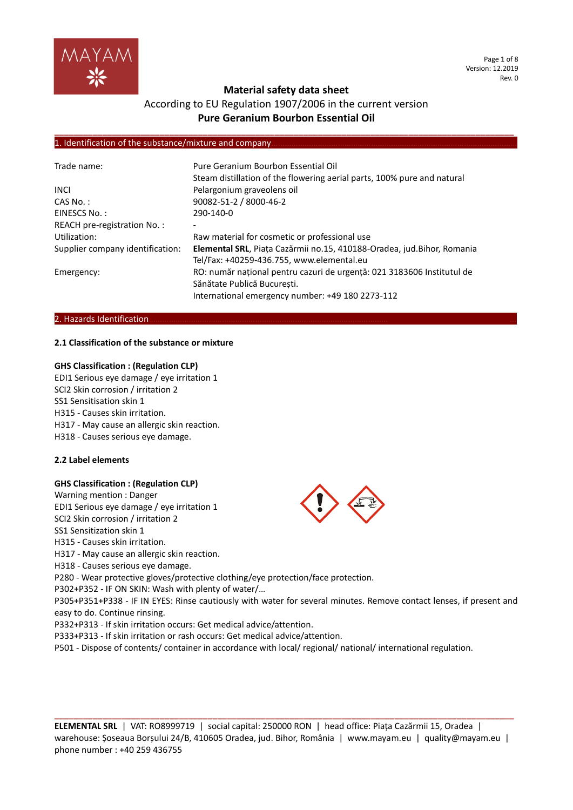

## According to EU Regulation 1907/2006 in the current version **Pure Geranium Bourbon Essential Oil**

**\_\_\_\_\_\_\_\_\_\_\_\_\_\_\_\_\_\_\_\_\_\_\_\_\_\_\_\_\_\_\_\_\_\_\_\_\_\_\_\_\_\_\_\_\_\_\_\_\_\_\_\_\_\_\_\_\_\_\_\_\_\_\_\_\_\_\_\_\_\_\_\_\_\_\_\_\_\_\_\_\_\_\_\_\_\_\_\_\_\_\_\_\_\_\_\_**

#### 1. Identification of the substance/mixture and company

| Trade name:                      | Pure Geranium Bourbon Essential Oil<br>Steam distillation of the flowering aerial parts, 100% pure and natural                                            |
|----------------------------------|-----------------------------------------------------------------------------------------------------------------------------------------------------------|
| <b>INCI</b>                      | Pelargonium graveolens oil                                                                                                                                |
| CAS No.:                         | 90082-51-2 / 8000-46-2                                                                                                                                    |
| EINESCS No.:                     | 290-140-0                                                                                                                                                 |
| REACH pre-registration No.:      | -                                                                                                                                                         |
| Utilization:                     | Raw material for cosmetic or professional use                                                                                                             |
| Supplier company identification: | Elemental SRL, Piața Cazărmii no.15, 410188-Oradea, jud.Bihor, Romania<br>Tel/Fax: +40259-436.755, www.elemental.eu                                       |
| Emergency:                       | RO: număr național pentru cazuri de urgență: 021 3183606 Institutul de<br>Sănătate Publică Bucuresti.<br>International emergency number: +49 180 2273-112 |

#### 2. Hazards Identification.

#### **2.1 Classification of the substance or mixture**

#### **GHS Classification : (Regulation CLP)**

EDI1 Serious eye damage / eye irritation 1 SCI2 Skin corrosion / irritation 2 SS1 Sensitisation skin 1 H315 - Causes skin irritation. H317 - May cause an allergic skin reaction. H318 - Causes serious eye damage.

#### **2.2 Label elements**

#### **GHS Classification : (Regulation CLP)**

Warning mention : Danger EDI1 Serious eye damage / eye irritation 1 SCI2 Skin corrosion / irritation 2 SS1 Sensitization skin 1 H315 - Causes skin irritation. H317 - May cause an allergic skin reaction. H318 - Causes serious eye damage. P280 - Wear protective gloves/protective clothing/eye protection/face protection. P302+P352 - IF ON SKIN: Wash with plenty of water/… P305+P351+P338 - IF IN EYES: Rinse cautiously with water for several minutes. Remove contact lenses, if present and easy to do. Continue rinsing. P332+P313 - If skin irritation occurs: Get medical advice/attention. P333+P313 - If skin irritation or rash occurs: Get medical advice/attention.

P501 - Dispose of contents/ container in accordance with local/ regional/ national/ international regulation.

**ELEMENTAL SRL** | VAT: RO8999719 | social capital: 250000 RON | head office: Piața Cazărmii 15, Oradea | warehouse: Șoseaua Borșului 24/B, 410605 Oradea, jud. Bihor, România | www.mayam.eu | quality@mayam.eu | phone number : +40 259 436755

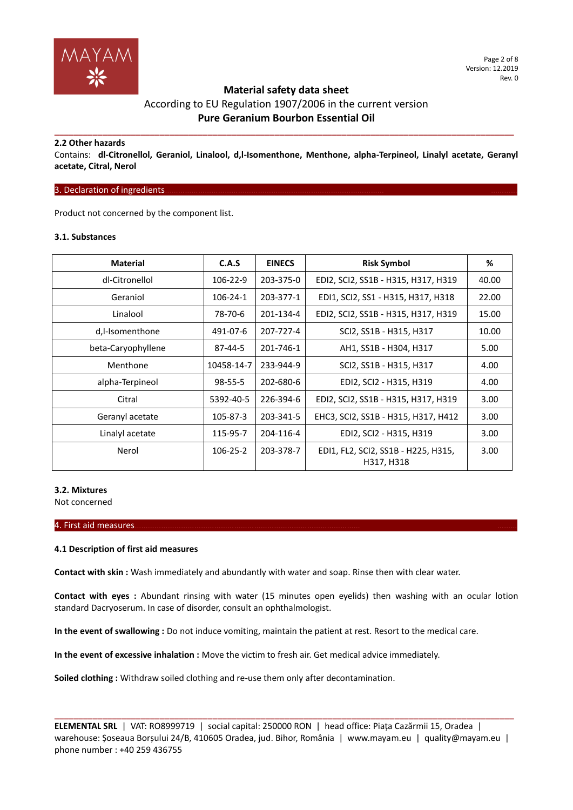

## According to EU Regulation 1907/2006 in the current version **Pure Geranium Bourbon Essential Oil**

**\_\_\_\_\_\_\_\_\_\_\_\_\_\_\_\_\_\_\_\_\_\_\_\_\_\_\_\_\_\_\_\_\_\_\_\_\_\_\_\_\_\_\_\_\_\_\_\_\_\_\_\_\_\_\_\_\_\_\_\_\_\_\_\_\_\_\_\_\_\_\_\_\_\_\_\_\_\_\_\_\_\_\_\_\_\_\_\_\_\_\_\_\_\_\_\_**

#### **2.2 Other hazards**

Contains: **dl-Citronellol, Geraniol, Linalool, d,l-Isomenthone, Menthone, alpha-Terpineol, Linalyl acetate, Geranyl acetate, Citral, Nerol**

#### 3. Declaration of ingredients.

Product not concerned by the component list.

#### **3.1. Substances**

| <b>Material</b>    | C.A.S         | <b>EINECS</b> | <b>Risk Symbol</b>                                | %                 |
|--------------------|---------------|---------------|---------------------------------------------------|-------------------|
| dl-Citronellol     | 106-22-9      | 203-375-0     | EDI2, SCI2, SS1B - H315, H317, H319               | 40.00             |
| Geraniol           | 106-24-1      | 203-377-1     | EDI1, SCI2, SS1 - H315, H317, H318                | 22.00             |
| Linalool           | 78-70-6       | 201-134-4     | EDI2, SCI2, SS1B - H315, H317, H319               | 15.00             |
| d,l-Isomenthone    | 491-07-6      | 207-727-4     | SCI2, SS1B - H315, H317                           | 10.00             |
| beta-Caryophyllene | $87 - 44 - 5$ | 201-746-1     | AH1, SS1B - H304, H317                            | 5.00              |
| Menthone           | 10458-14-7    | 233-944-9     | SCI2, SS1B - H315, H317                           | 4.00              |
| alpha-Terpineol    | $98 - 55 - 5$ | 202-680-6     | EDI2, SCI2 - H315, H319                           | 4.00              |
| Citral             | 5392-40-5     | 226-394-6     | EDI2, SCI2, SS1B - H315, H317, H319               | 3.00              |
| Geranyl acetate    | 105-87-3      | 203-341-5     | EHC3, SCI2, SS1B - H315, H317, H412               | 3.00              |
| Linalyl acetate    | 115-95-7      | 204-116-4     | EDI2, SCI2 - H315, H319                           | 3.00              |
| Nerol              | 106-25-2      | 203-378-7     | EDI1, FL2, SCI2, SS1B - H225, H315,<br>H317, H318 | 3.00 <sub>1</sub> |

#### **3.2. Mixtures**

Not concerned

#### 4. First aid measures………………………………………………………………………………………… ………

#### **4.1 Description of first aid measures**

**Contact with skin :** Wash immediately and abundantly with water and soap. Rinse then with clear water.

**Contact with eyes :** Abundant rinsing with water (15 minutes open eyelids) then washing with an ocular lotion standard Dacryoserum. In case of disorder, consult an ophthalmologist.

**In the event of swallowing :** Do not induce vomiting, maintain the patient at rest. Resort to the medical care.

**In the event of excessive inhalation :** Move the victim to fresh air. Get medical advice immediately.

**Soiled clothing :** Withdraw soiled clothing and re-use them only after decontamination.

**ELEMENTAL SRL** | VAT: RO8999719 | social capital: 250000 RON | head office: Piața Cazărmii 15, Oradea | warehouse: Șoseaua Borșului 24/B, 410605 Oradea, jud. Bihor, România | www.mayam.eu | quality@mayam.eu | phone number : +40 259 436755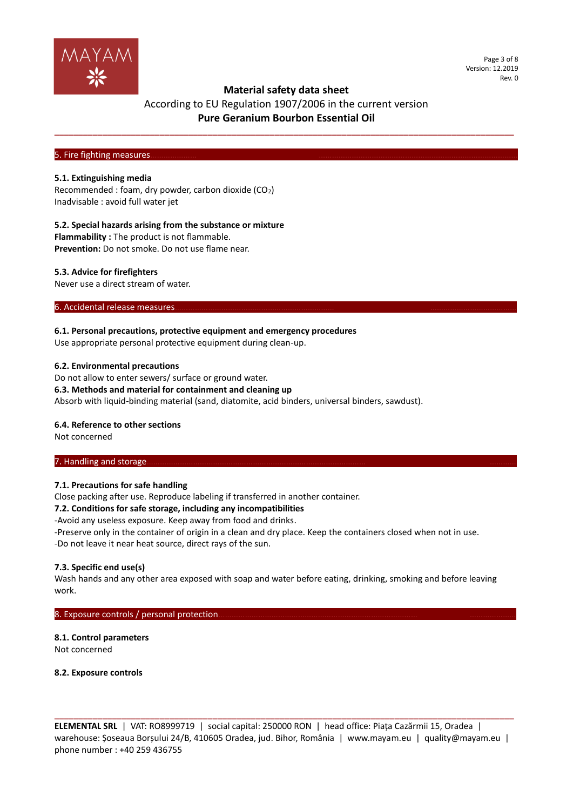

Page 3 of 8 Version: 12.2019 Rev. 0

## **Material safety data sheet**

## According to EU Regulation 1907/2006 in the current version **Pure Geranium Bourbon Essential Oil**

**\_\_\_\_\_\_\_\_\_\_\_\_\_\_\_\_\_\_\_\_\_\_\_\_\_\_\_\_\_\_\_\_\_\_\_\_\_\_\_\_\_\_\_\_\_\_\_\_\_\_\_\_\_\_\_\_\_\_\_\_\_\_\_\_\_\_\_\_\_\_\_\_\_\_\_\_\_\_\_\_\_\_\_\_\_\_\_\_\_\_\_\_\_\_\_\_**

#### 5. Fire fighting measures

#### **5.1. Extinguishing media**

Recommended : foam, dry powder, carbon dioxide (CO2) Inadvisable : avoid full water jet

#### **5.2. Special hazards arising from the substance or mixture**

**Flammability :** The product is not flammable. **Prevention:** Do not smoke. Do not use flame near.

#### **5.3. Advice for firefighters**

Never use a direct stream of water.

#### 6. Accidental release measures

#### **6.1. Personal precautions, protective equipment and emergency procedures**

Use appropriate personal protective equipment during clean-up.

#### **6.2. Environmental precautions**

Do not allow to enter sewers/ surface or ground water. **6.3. Methods and material for containment and cleaning up** Absorb with liquid-binding material (sand, diatomite, acid binders, universal binders, sawdust).

#### **6.4. Reference to other sections**

Not concerned

#### 7. Handling and storage.

#### **7.1. Precautions for safe handling**

Close packing after use. Reproduce labeling if transferred in another container.

#### **7.2. Conditions for safe storage, including any incompatibilities**

-Avoid any useless exposure. Keep away from food and drinks.

-Preserve only in the container of origin in a clean and dry place. Keep the containers closed when not in use. -Do not leave it near heat source, direct rays of the sun.

#### **7.3. Specific end use(s)**

Wash hands and any other area exposed with soap and water before eating, drinking, smoking and before leaving work.

#### 8. Exposure controls / personal protection

#### **8.1. Control parameters**

Not concerned

**8.2. Exposure controls**

**ELEMENTAL SRL** | VAT: RO8999719 | social capital: 250000 RON | head office: Piața Cazărmii 15, Oradea | warehouse: Șoseaua Borșului 24/B, 410605 Oradea, jud. Bihor, România | www.mayam.eu | quality@mayam.eu | phone number : +40 259 436755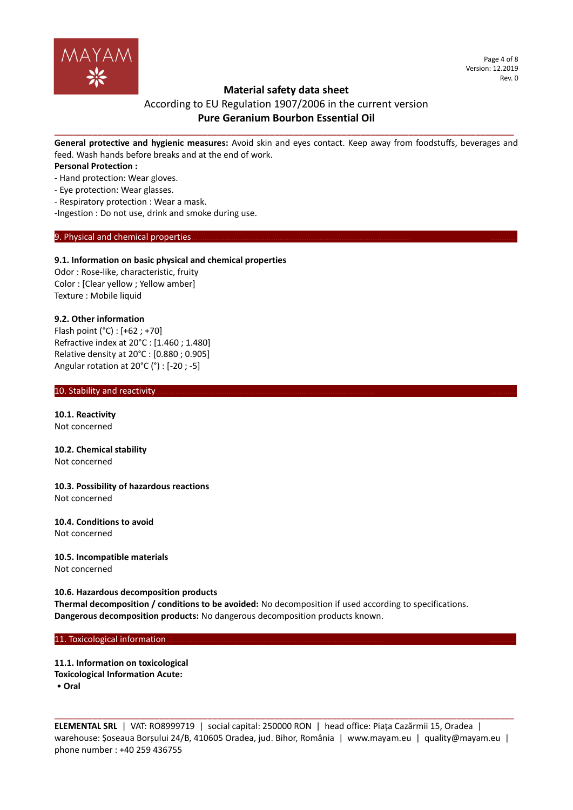

Page 4 of 8 Version: 12.2019 Rev. 0

## **Material safety data sheet**

## According to EU Regulation 1907/2006 in the current version **Pure Geranium Bourbon Essential Oil**

**\_\_\_\_\_\_\_\_\_\_\_\_\_\_\_\_\_\_\_\_\_\_\_\_\_\_\_\_\_\_\_\_\_\_\_\_\_\_\_\_\_\_\_\_\_\_\_\_\_\_\_\_\_\_\_\_\_\_\_\_\_\_\_\_\_\_\_\_\_\_\_\_\_\_\_\_\_\_\_\_\_\_\_\_\_\_\_\_\_\_\_\_\_\_\_\_ General protective and hygienic measures:** Avoid skin and eyes contact. Keep away from foodstuffs, beverages and feed. Wash hands before breaks and at the end of work.

**Personal Protection :**

- Hand protection: Wear gloves.
- Eye protection: Wear glasses.
- Respiratory protection : Wear a mask.

-Ingestion : Do not use, drink and smoke during use.

#### 9. Physical and chemical properties

#### **9.1. Information on basic physical and chemical properties**

Odor : Rose-like, characteristic, fruity Color : [Clear yellow ; Yellow amber] Texture : Mobile liquid

#### **9.2. Other information**

Flash point (°C) : [+62 ; +70] Refractive index at 20°C : [1.460 ; 1.480] Relative density at 20°C : [0.880 ; 0.905] Angular rotation at 20°C (°) : [-20 ; -5]

#### 10. Stability and reactivity.

**10.1. Reactivity** Not concerned

#### **10.2. Chemical stability** Not concerned

**10.3. Possibility of hazardous reactions** Not concerned

# **10.4. Conditions to avoid**

Not concerned

#### **10.5. Incompatible materials** Not concerned

#### **10.6. Hazardous decomposition products**

**Thermal decomposition / conditions to be avoided:** No decomposition if used according to specifications. **Dangerous decomposition products:** No dangerous decomposition products known.

#### 11. Toxicological information.

**11.1. Information on toxicological Toxicological Information Acute:** • **Oral**

**ELEMENTAL SRL** | VAT: RO8999719 | social capital: 250000 RON | head office: Piața Cazărmii 15, Oradea | warehouse: Șoseaua Borșului 24/B, 410605 Oradea, jud. Bihor, România | www.mayam.eu | quality@mayam.eu | phone number : +40 259 436755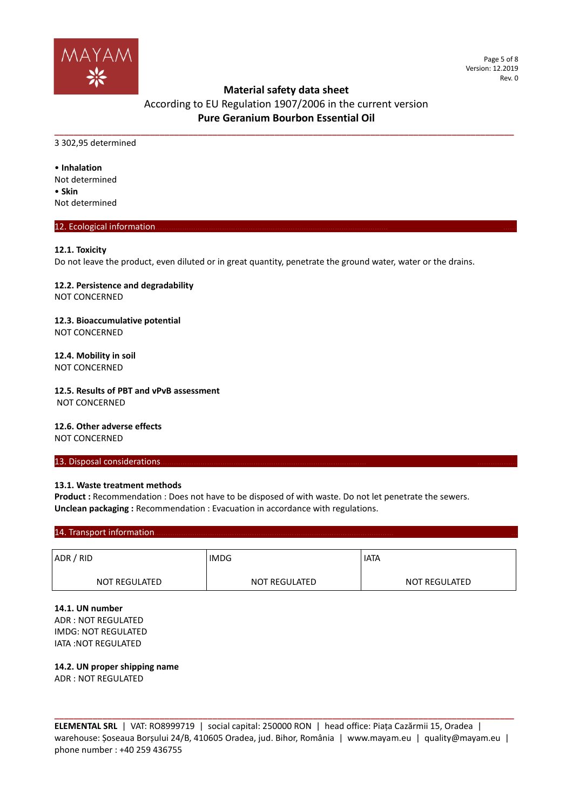

## According to EU Regulation 1907/2006 in the current version **Pure Geranium Bourbon Essential Oil**

**\_\_\_\_\_\_\_\_\_\_\_\_\_\_\_\_\_\_\_\_\_\_\_\_\_\_\_\_\_\_\_\_\_\_\_\_\_\_\_\_\_\_\_\_\_\_\_\_\_\_\_\_\_\_\_\_\_\_\_\_\_\_\_\_\_\_\_\_\_\_\_\_\_\_\_\_\_\_\_\_\_\_\_\_\_\_\_\_\_\_\_\_\_\_\_\_**

3 302,95 determined

• **Inhalation** Not determined • **Skin** Not determined

#### 12. Ecological information

#### **12.1. Toxicity**

Do not leave the product, even diluted or in great quantity, penetrate the ground water, water or the drains.

**12.2. Persistence and degradability** NOT CONCERNED

**12.3. Bioaccumulative potential** NOT CONCERNED

#### **12.4. Mobility in soil** NOT CONCERNED

## **12.5. Results of PBT and vPvB assessment**

NOT CONCERNED

**12.6. Other adverse effects** NOT CONCERNED

# 13. Disposal considerations.

#### **13.1. Waste treatment methods**

Product : Recommendation : Does not have to be disposed of with waste. Do not let penetrate the sewers. **Unclean packaging :** Recommendation : Evacuation in accordance with regulations.

#### 14. Transport information

| ADR / RID     | <b>IMDG</b>   | <b>IATA</b>          |  |
|---------------|---------------|----------------------|--|
| NOT REGULATED | NOT REGULATED | <b>NOT REGULATED</b> |  |

**14.1. UN number** ADR : NOT REGULATED IMDG: NOT REGULATED IATA :NOT REGULATED

**14.2. UN proper shipping name** ADR : NOT REGULATED

**ELEMENTAL SRL** | VAT: RO8999719 | social capital: 250000 RON | head office: Piața Cazărmii 15, Oradea | warehouse: Șoseaua Borșului 24/B, 410605 Oradea, jud. Bihor, România | www.mayam.eu | quality@mayam.eu | phone number : +40 259 436755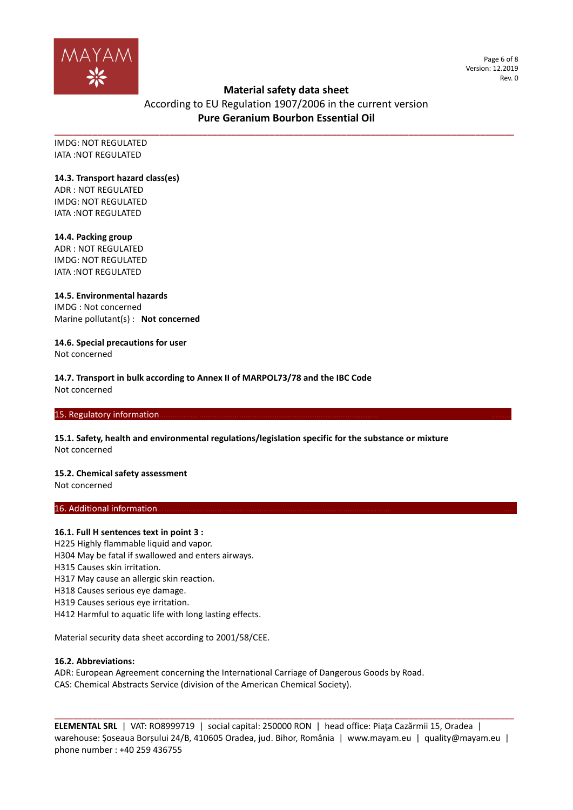

Page 6 of 8 Version: 12.2019 Rev. 0

## **Material safety data sheet**

According to EU Regulation 1907/2006 in the current version **Pure Geranium Bourbon Essential Oil** 

**\_\_\_\_\_\_\_\_\_\_\_\_\_\_\_\_\_\_\_\_\_\_\_\_\_\_\_\_\_\_\_\_\_\_\_\_\_\_\_\_\_\_\_\_\_\_\_\_\_\_\_\_\_\_\_\_\_\_\_\_\_\_\_\_\_\_\_\_\_\_\_\_\_\_\_\_\_\_\_\_\_\_\_\_\_\_\_\_\_\_\_\_\_\_\_\_**

IMDG: NOT REGULATED IATA :NOT REGULATED

#### **14.3. Transport hazard class(es)**

ADR : NOT REGULATED IMDG: NOT REGULATED IATA :NOT REGULATED

#### **14.4. Packing group**

ADR : NOT REGULATED IMDG: NOT REGULATED IATA :NOT REGULATED

**14.5. Environmental hazards** IMDG : Not concerned Marine pollutant(s) : **Not concerned**

**14.6. Special precautions for user** Not concerned

**14.7. Transport in bulk according to Annex II of MARPOL73/78 and the IBC Code** Not concerned

#### 15. Regulatory information

**15.1. Safety, health and environmental regulations/legislation specific for the substance or mixture** Not concerned

### **15.2. Chemical safety assessment**

Not concerned

#### 16. Additional information.

#### **16.1. Full H sentences text in point 3 :**

H225 Highly flammable liquid and vapor.

- H304 May be fatal if swallowed and enters airways.
- H315 Causes skin irritation.
- H317 May cause an allergic skin reaction.
- H318 Causes serious eye damage.
- H319 Causes serious eye irritation.
- H412 Harmful to aquatic life with long lasting effects.

Material security data sheet according to 2001/58/CEE.

#### **16.2. Abbreviations:**

ADR: European Agreement concerning the International Carriage of Dangerous Goods by Road. CAS: Chemical Abstracts Service (division of the American Chemical Society).

**ELEMENTAL SRL** | VAT: RO8999719 | social capital: 250000 RON | head office: Piața Cazărmii 15, Oradea | warehouse: Șoseaua Borșului 24/B, 410605 Oradea, jud. Bihor, România | www.mayam.eu | quality@mayam.eu | phone number : +40 259 436755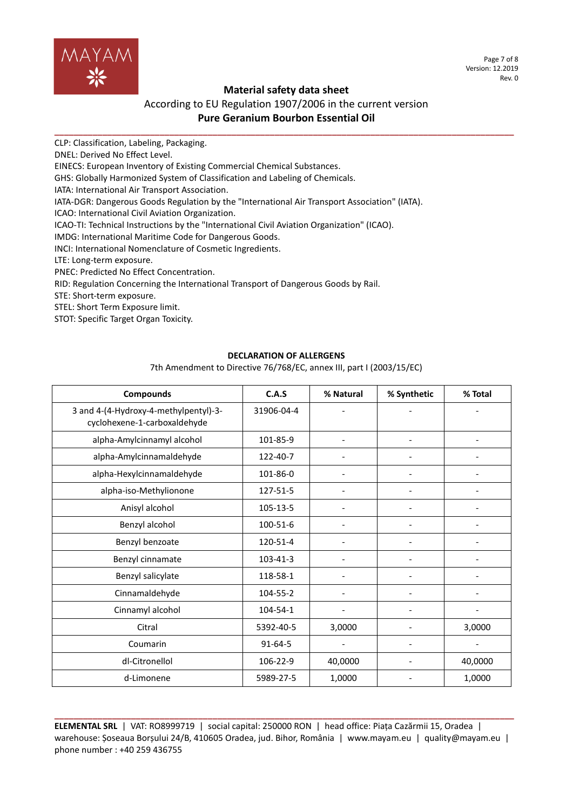

Page 7 of 8 Version: 12.2019 Rev. 0

## **Material safety data sheet**

## According to EU Regulation 1907/2006 in the current version **Pure Geranium Bourbon Essential Oil**

**\_\_\_\_\_\_\_\_\_\_\_\_\_\_\_\_\_\_\_\_\_\_\_\_\_\_\_\_\_\_\_\_\_\_\_\_\_\_\_\_\_\_\_\_\_\_\_\_\_\_\_\_\_\_\_\_\_\_\_\_\_\_\_\_\_\_\_\_\_\_\_\_\_\_\_\_\_\_\_\_\_\_\_\_\_\_\_\_\_\_\_\_\_\_\_\_**

CLP: Classification, Labeling, Packaging.

DNEL: Derived No Effect Level.

EINECS: European Inventory of Existing Commercial Chemical Substances.

GHS: Globally Harmonized System of Classification and Labeling of Chemicals.

IATA: International Air Transport Association.

IATA-DGR: Dangerous Goods Regulation by the "International Air Transport Association" (IATA).

ICAO: International Civil Aviation Organization.

ICAO-TI: Technical Instructions by the "International Civil Aviation Organization" (ICAO).

IMDG: International Maritime Code for Dangerous Goods.

INCI: International Nomenclature of Cosmetic Ingredients.

LTE: Long-term exposure.

PNEC: Predicted No Effect Concentration.

RID: Regulation Concerning the International Transport of Dangerous Goods by Rail.

STE: Short-term exposure.

STEL: Short Term Exposure limit.

STOT: Specific Target Organ Toxicity.

#### **DECLARATION OF ALLERGENS**

7th Amendment to Directive 76/768/EC, annex III, part I (2003/15/EC)

| <b>Compounds</b>                                                      | C.A.S         | % Natural                | % Synthetic              | % Total                      |
|-----------------------------------------------------------------------|---------------|--------------------------|--------------------------|------------------------------|
| 3 and 4-(4-Hydroxy-4-methylpentyl)-3-<br>cyclohexene-1-carboxaldehyde | 31906-04-4    |                          |                          |                              |
| alpha-Amylcinnamyl alcohol                                            | 101-85-9      |                          |                          |                              |
| alpha-Amylcinnamaldehyde                                              | 122-40-7      |                          |                          |                              |
| alpha-Hexylcinnamaldehyde                                             | 101-86-0      |                          |                          |                              |
| alpha-iso-Methylionone                                                | 127-51-5      | $\overline{\phantom{a}}$ | ۰                        | $\qquad \qquad \blacksquare$ |
| Anisyl alcohol                                                        | 105-13-5      |                          |                          |                              |
| Benzyl alcohol                                                        | 100-51-6      |                          |                          |                              |
| Benzyl benzoate                                                       | 120-51-4      |                          |                          |                              |
| Benzyl cinnamate                                                      | 103-41-3      |                          |                          |                              |
| Benzyl salicylate                                                     | 118-58-1      |                          |                          |                              |
| Cinnamaldehyde                                                        | 104-55-2      |                          |                          |                              |
| Cinnamyl alcohol                                                      | 104-54-1      |                          |                          |                              |
| Citral                                                                | 5392-40-5     | 3,0000                   |                          | 3,0000                       |
| Coumarin                                                              | $91 - 64 - 5$ |                          | $\overline{\phantom{a}}$ |                              |
| dl-Citronellol                                                        | 106-22-9      | 40,0000                  |                          | 40,0000                      |
| d-Limonene                                                            | 5989-27-5     | 1,0000                   |                          | 1,0000                       |

**ELEMENTAL SRL** | VAT: RO8999719 | social capital: 250000 RON | head office: Piața Cazărmii 15, Oradea | warehouse: Șoseaua Borșului 24/B, 410605 Oradea, jud. Bihor, România | www.mayam.eu | quality@mayam.eu | phone number : +40 259 436755